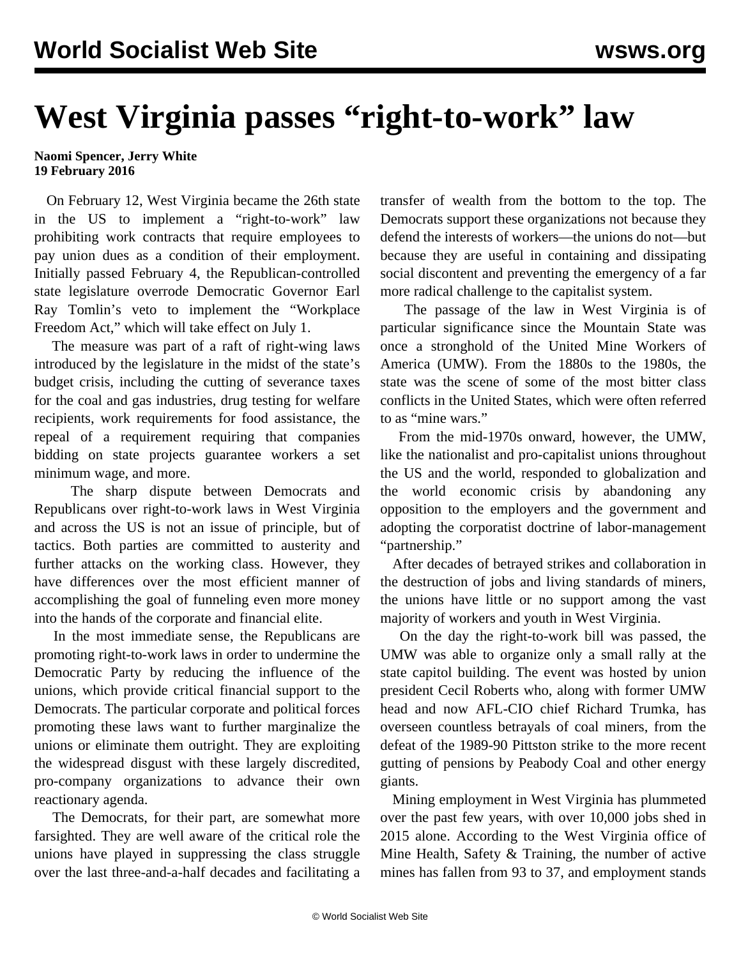## **West Virginia passes "right-to-work" law**

## **Naomi Spencer, Jerry White 19 February 2016**

 On February 12, West Virginia became the 26th state in the US to implement a "right-to-work" law prohibiting work contracts that require employees to pay union dues as a condition of their employment. Initially passed February 4, the Republican-controlled state legislature overrode Democratic Governor Earl Ray Tomlin's veto to implement the "Workplace Freedom Act," which will take effect on July 1.

 The measure was part of a raft of right-wing laws introduced by the legislature in the midst of the state's budget crisis, including the cutting of severance taxes for the coal and gas industries, drug testing for welfare recipients, work requirements for food assistance, the repeal of a requirement requiring that companies bidding on state projects guarantee workers a set minimum wage, and more.

 The sharp dispute between Democrats and Republicans over right-to-work laws in West Virginia and across the US is not an issue of principle, but of tactics. Both parties are committed to austerity and further attacks on the working class. However, they have differences over the most efficient manner of accomplishing the goal of funneling even more money into the hands of the corporate and financial elite.

 In the most immediate sense, the Republicans are promoting right-to-work laws in order to undermine the Democratic Party by reducing the influence of the unions, which provide critical financial support to the Democrats. The particular corporate and political forces promoting these laws want to further marginalize the unions or eliminate them outright. They are exploiting the widespread disgust with these largely discredited, pro-company organizations to advance their own reactionary agenda.

 The Democrats, for their part, are somewhat more farsighted. They are well aware of the critical role the unions have played in suppressing the class struggle over the last three-and-a-half decades and facilitating a transfer of wealth from the bottom to the top. The Democrats support these organizations not because they defend the interests of workers—the unions do not—but because they are useful in containing and dissipating social discontent and preventing the emergency of a far more radical challenge to the capitalist system.

 The passage of the law in West Virginia is of particular significance since the Mountain State was once a stronghold of the United Mine Workers of America (UMW). From the 1880s to the 1980s, the state was the scene of some of the most bitter class conflicts in the United States, which were often referred to as "mine wars."

 From the mid-1970s onward, however, the UMW, like the nationalist and pro-capitalist unions throughout the US and the world, responded to globalization and the world economic crisis by abandoning any opposition to the employers and the government and adopting the corporatist doctrine of labor-management "partnership."

 After decades of betrayed strikes and collaboration in the destruction of jobs and living standards of miners, the unions have little or no support among the vast majority of workers and youth in West Virginia.

 On the day the right-to-work bill was passed, the UMW was able to organize only a small rally at the state capitol building. The event was hosted by union president Cecil Roberts who, along with former UMW head and now AFL-CIO chief Richard Trumka, has overseen countless betrayals of coal miners, from the defeat of the 1989-90 Pittston strike to the more recent gutting of pensions by Peabody Coal and other energy giants.

 Mining employment in West Virginia has plummeted over the past few years, with over 10,000 jobs shed in 2015 alone. According to the West Virginia office of Mine Health, Safety & Training, the number of active mines has fallen from 93 to 37, and employment stands